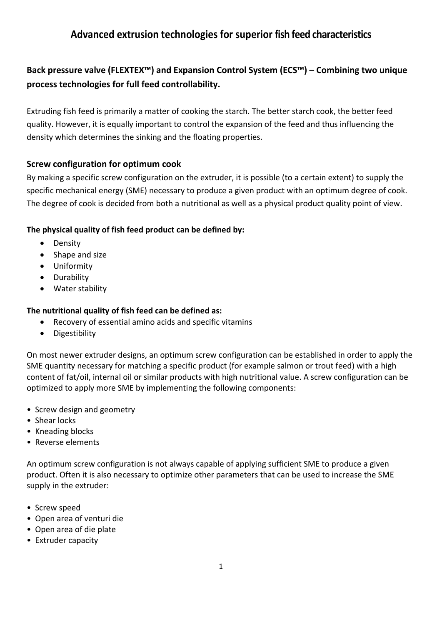# **Advanced extrusion technologies for superior fish feed characteristics**

# **Back pressure valve (FLEXTEX™) and Expansion Control System (ECS™) – Combining two unique process technologies for full feed controllability.**

Extruding fish feed is primarily a matter of cooking the starch. The better starch cook, the better feed quality. However, it is equally important to control the expansion of the feed and thus influencing the density which determines the sinking and the floating properties.

#### **Screw configuration for optimum cook**

By making a specific screw configuration on the extruder, it is possible (to a certain extent) to supply the specific mechanical energy (SME) necessary to produce a given product with an optimum degree of cook. The degree of cook is decided from both a nutritional as well as a physical product quality point of view.

#### **The physical quality of fish feed product can be defined by:**

- Density
- Shape and size
- Uniformity
- Durability
- Water stability

#### **The nutritional quality of fish feed can be defined as:**

- Recovery of essential amino acids and specific vitamins
- Digestibility

On most newer extruder designs, an optimum screw configuration can be established in order to apply the SME quantity necessary for matching a specific product (for example salmon or trout feed) with a high content of fat/oil, internal oil or similar products with high nutritional value. A screw configuration can be optimized to apply more SME by implementing the following components:

- Screw design and geometry
- Shear locks
- Kneading blocks
- Reverse elements

An optimum screw configuration is not always capable of applying sufficient SME to produce a given product. Often it is also necessary to optimize other parameters that can be used to increase the SME supply in the extruder:

- Screw speed
- Open area of venturi die
- Open area of die plate
- Extruder capacity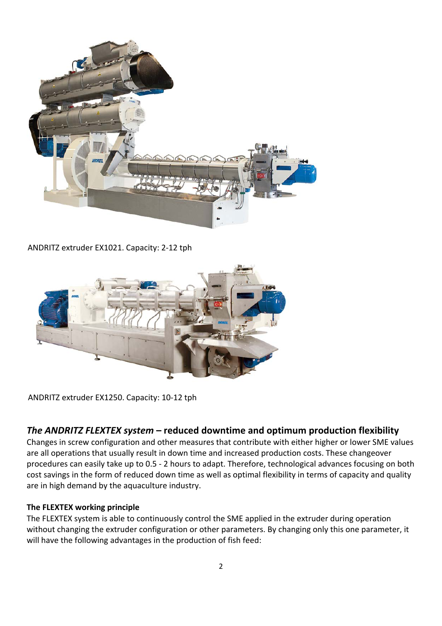

ANDRITZ extruder EX1021. Capacity: 2-12 tph



ANDRITZ extruder EX1250. Capacity: 10-12 tph

### *The ANDRITZ FLEXTEX system* **– reduced downtime and optimum production flexibility**

Changes in screw configuration and other measures that contribute with either higher or lower SME values are all operations that usually result in down time and increased production costs. These changeover procedures can easily take up to 0.5 - 2 hours to adapt. Therefore, technological advances focusing on both cost savings in the form of reduced down time as well as optimal flexibility in terms of capacity and quality are in high demand by the aquaculture industry.

#### **The FLEXTEX working principle**

The FLEXTEX system is able to continuously control the SME applied in the extruder during operation without changing the extruder configuration or other parameters. By changing only this one parameter, it will have the following advantages in the production of fish feed: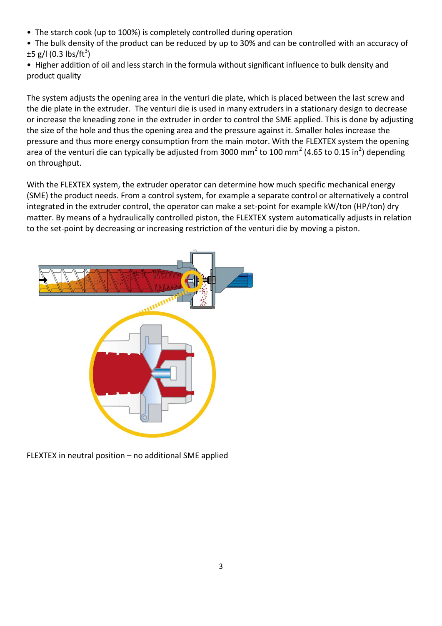• The starch cook (up to 100%) is completely controlled during operation

• The bulk density of the product can be reduced by up to 30% and can be controlled with an accuracy of  $\pm 5$  g/l (0.3 lbs/ft<sup>3</sup>)

• Higher addition of oil and less starch in the formula without significant influence to bulk density and product quality

The system adjusts the opening area in the venturi die plate, which is placed between the last screw and the die plate in the extruder. The venturi die is used in many extruders in a stationary design to decrease or increase the kneading zone in the extruder in order to control the SME applied. This is done by adjusting the size of the hole and thus the opening area and the pressure against it. Smaller holes increase the pressure and thus more energy consumption from the main motor. With the FLEXTEX system the opening area of the venturi die can typically be adjusted from 3000 mm<sup>2</sup> to 100 mm<sup>2</sup> (4.65 to 0.15 in<sup>2</sup>) depending on throughput.

With the FLEXTEX system, the extruder operator can determine how much specific mechanical energy (SME) the product needs. From a control system, for example a separate control or alternatively a control integrated in the extruder control, the operator can make a set-point for example kW/ton (HP/ton) dry matter. By means of a hydraulically controlled piston, the FLEXTEX system automatically adjusts in relation to the set-point by decreasing or increasing restriction of the venturi die by moving a piston.



FLEXTEX in neutral position – no additional SME applied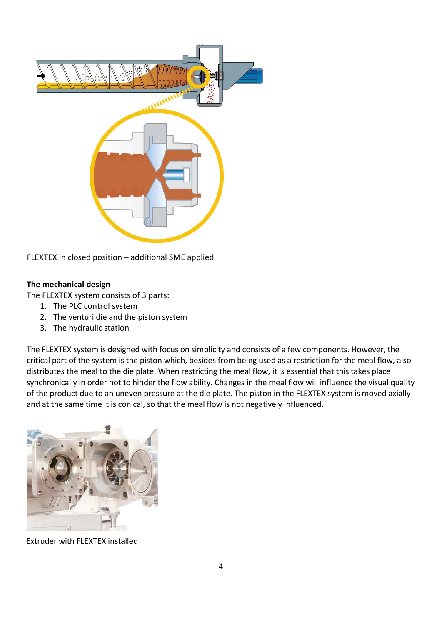

FLEXTEX in closed position – additional SME applied

#### **The mechanical design**

The FLEXTEX system consists of 3 parts:

- 1. The PLC control system
- 2. The venturi die and the piston system
- 3. The hydraulic station

The FLEXTEX system is designed with focus on simplicity and consists of a few components. However, the critical part of the system is the piston which, besides from being used as a restriction for the meal flow, also distributes the meal to the die plate. When restricting the meal flow, it is essential that this takes place synchronically in order not to hinder the flow ability. Changes in the meal flow will influence the visual quality of the product due to an uneven pressure at the die plate. The piston in the FLEXTEX system is moved axially and at the same time it is conical, so that the meal flow is not negatively influenced.



Extruder with FLEXTEX installed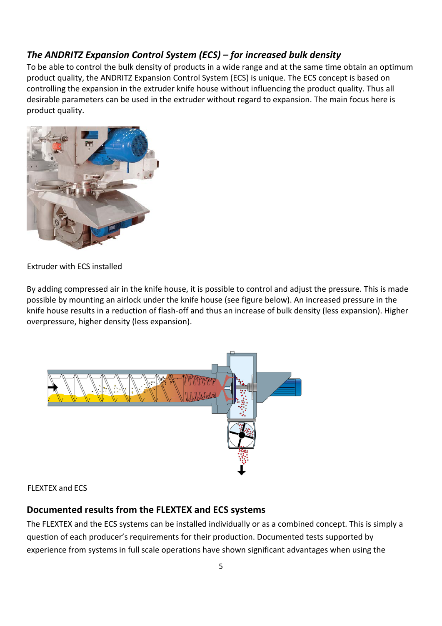## *The ANDRITZ Expansion Control System (ECS) – for increased bulk density*

To be able to control the bulk density of products in a wide range and at the same time obtain an optimum product quality, the ANDRITZ Expansion Control System (ECS) is unique. The ECS concept is based on controlling the expansion in the extruder knife house without influencing the product quality. Thus all desirable parameters can be used in the extruder without regard to expansion. The main focus here is product quality.



#### Extruder with ECS installed

By adding compressed air in the knife house, it is possible to control and adjust the pressure. This is made possible by mounting an airlock under the knife house (see figure below). An increased pressure in the knife house results in a reduction of flash-off and thus an increase of bulk density (less expansion). Higher overpressure, higher density (less expansion).



### FLEXTEX and ECS

## **Documented results from the FLEXTEX and ECS systems**

The FLEXTEX and the ECS systems can be installed individually or as a combined concept. This is simply a question of each producer's requirements for their production. Documented tests supported by experience from systems in full scale operations have shown significant advantages when using the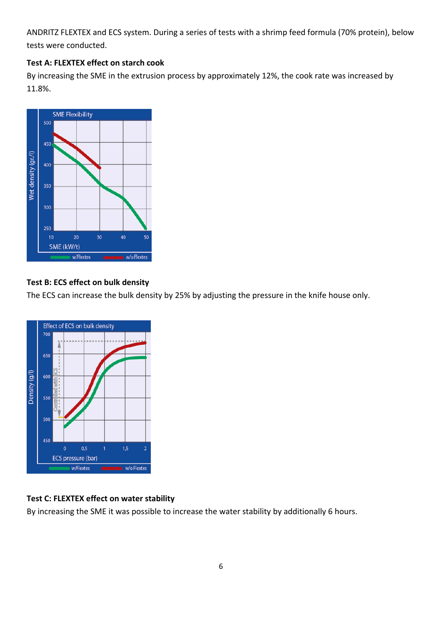ANDRITZ FLEXTEX and ECS system. During a series of tests with a shrimp feed formula (70% protein), below tests were conducted.

#### **Test A: FLEXTEX effect on starch cook**

By increasing the SME in the extrusion process by approximately 12%, the cook rate was increased by 11.8%.



### **Test B: ECS effect on bulk density**

The ECS can increase the bulk density by 25% by adjusting the pressure in the knife house only.



#### **Test C: FLEXTEX effect on water stability**

By increasing the SME it was possible to increase the water stability by additionally 6 hours.